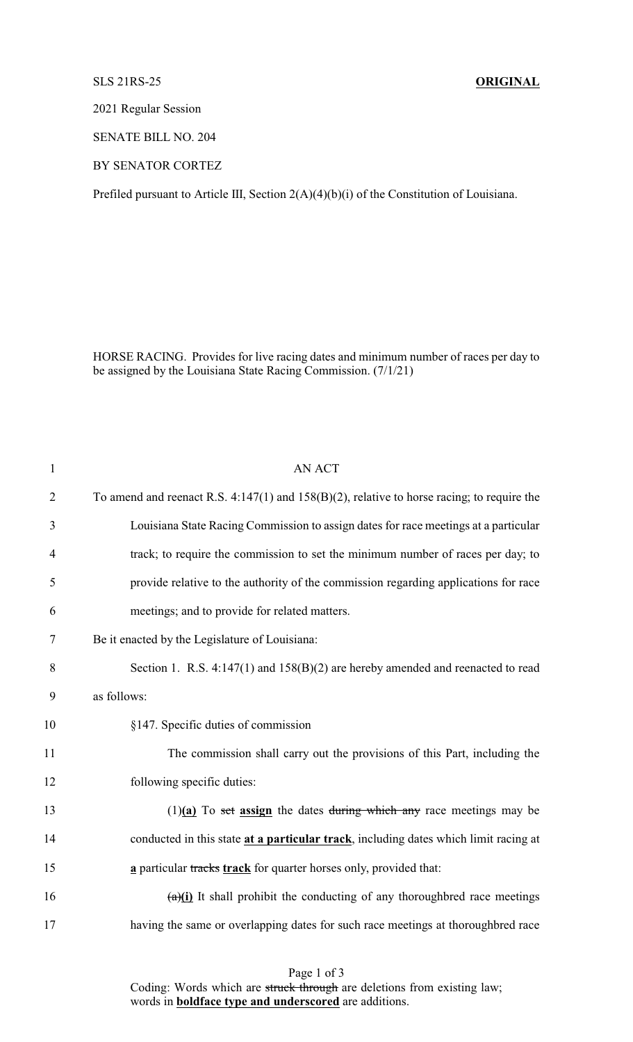## SLS 21RS-25 **ORIGINAL**

2021 Regular Session

SENATE BILL NO. 204

BY SENATOR CORTEZ

Prefiled pursuant to Article III, Section 2(A)(4)(b)(i) of the Constitution of Louisiana.

HORSE RACING. Provides for live racing dates and minimum number of races per day to be assigned by the Louisiana State Racing Commission. (7/1/21)

| $\mathbf{1}$   | <b>AN ACT</b>                                                                                   |
|----------------|-------------------------------------------------------------------------------------------------|
| $\overline{2}$ | To amend and reenact R.S. $4:147(1)$ and $158(B)(2)$ , relative to horse racing; to require the |
| 3              | Louisiana State Racing Commission to assign dates for race meetings at a particular             |
| $\overline{4}$ | track; to require the commission to set the minimum number of races per day; to                 |
| 5              | provide relative to the authority of the commission regarding applications for race             |
| 6              | meetings; and to provide for related matters.                                                   |
| $\tau$         | Be it enacted by the Legislature of Louisiana:                                                  |
| 8              | Section 1. R.S. $4:147(1)$ and $158(B)(2)$ are hereby amended and reenacted to read             |
| 9              | as follows:                                                                                     |
| 10             | §147. Specific duties of commission                                                             |
| 11             | The commission shall carry out the provisions of this Part, including the                       |
| 12             | following specific duties:                                                                      |
| 13             | $(1)(a)$ To set assign the dates during which any race meetings may be                          |
| 14             | conducted in this state at a particular track, including dates which limit racing at            |
| 15             | a particular tracks track for quarter horses only, provided that:                               |
| 16             | $\frac{a}{i}$ It shall prohibit the conducting of any thoroughbred race meetings                |
| 17             | having the same or overlapping dates for such race meetings at thoroughbred race                |

Page 1 of 3

Coding: Words which are struck through are deletions from existing law; words in **boldface type and underscored** are additions.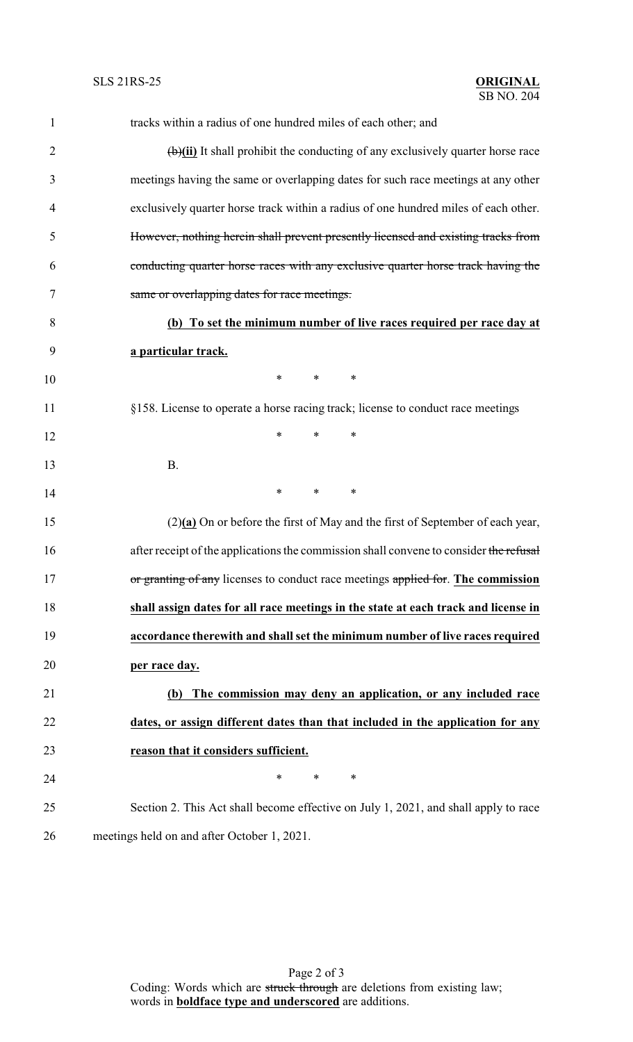| $\mathbf{1}$   | tracks within a radius of one hundred miles of each other; and                          |
|----------------|-----------------------------------------------------------------------------------------|
| $\overline{2}$ | $\overline{(b)}$ It shall prohibit the conducting of any exclusively quarter horse race |
| 3              | meetings having the same or overlapping dates for such race meetings at any other       |
| 4              | exclusively quarter horse track within a radius of one hundred miles of each other.     |
| 5              | However, nothing herein shall prevent presently licensed and existing tracks from       |
| 6              | conducting quarter horse races with any exclusive quarter horse track having the        |
| 7              | same or overlapping dates for race meetings.                                            |
| 8              | (b) To set the minimum number of live races required per race day at                    |
| 9              | a particular track.                                                                     |
| 10             | $\ast$<br>$\ast$<br>$\ast$                                                              |
| 11             | §158. License to operate a horse racing track; license to conduct race meetings         |
| 12             | $\ast$<br>$\ast$<br>∗                                                                   |
| 13             | <b>B.</b>                                                                               |
| 14             | $\ast$<br>*<br>∗                                                                        |
| 15             | $(2)(a)$ On or before the first of May and the first of September of each year,         |
| 16             | after receipt of the applications the commission shall convene to consider the refusal  |
| 17             | or granting of any licenses to conduct race meetings applied for. The commission        |
| 18             | shall assign dates for all race meetings in the state at each track and license in      |
| 19             | accordance therewith and shall set the minimum number of live races required            |
| 20             | per race day.                                                                           |
| 21             | The commission may deny an application, or any included race<br>(b)                     |
| 22             | dates, or assign different dates than that included in the application for any          |
| 23             | reason that it considers sufficient.                                                    |
| 24             | $\ast$<br>*<br>$\ast$                                                                   |
| 25             | Section 2. This Act shall become effective on July 1, 2021, and shall apply to race     |
| 26             | meetings held on and after October 1, 2021.                                             |